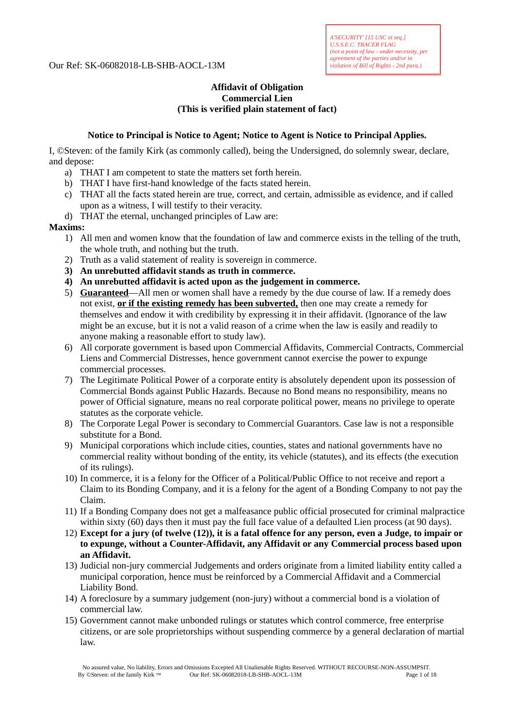## Our Ref: SK-06082018-LB-SHB-AOCL-13M

## **Affidavit of Obligation Commercial Lien (This is verified plain statement of fact)**

## **Notice to Principal is Notice to Agent; Notice to Agent is Notice to Principal Applies.**

I, ©Steven: of the family Kirk (as commonly called), being the Undersigned, do solemnly swear, declare, and depose:

- a) THAT I am competent to state the matters set forth herein.
- b) THAT I have first-hand knowledge of the facts stated herein.
- c) THAT all the facts stated herein are true, correct, and certain, admissible as evidence, and if called upon as a witness, I will testify to their veracity.
- d) THAT the eternal, unchanged principles of Law are:

## **Maxims:**

- 1) All men and women know that the foundation of law and commerce exists in the telling of the truth, the whole truth, and nothing but the truth.
- 2) Truth as a valid statement of reality is sovereign in commerce.
- **3) An unrebutted affidavit stands as truth in commerce.**
- **4) An unrebutted affidavit is acted upon as the judgement in commerce.**
- 5) **Guaranteed**—All men or women shall have a remedy by the due course of law. If a remedy does not exist, **or if the existing remedy has been subverted,** then one may create a remedy for themselves and endow it with credibility by expressing it in their affidavit. (Ignorance of the law might be an excuse, but it is not a valid reason of a crime when the law is easily and readily to anyone making a reasonable effort to study law).
- 6) All corporate government is based upon Commercial Affidavits, Commercial Contracts, Commercial Liens and Commercial Distresses, hence government cannot exercise the power to expunge commercial processes.
- 7) The Legitimate Political Power of a corporate entity is absolutely dependent upon its possession of Commercial Bonds against Public Hazards. Because no Bond means no responsibility, means no power of Official signature, means no real corporate political power, means no privilege to operate statutes as the corporate vehicle.
- 8) The Corporate Legal Power is secondary to Commercial Guarantors. Case law is not a responsible substitute for a Bond.
- 9) Municipal corporations which include cities, counties, states and national governments have no commercial reality without bonding of the entity, its vehicle (statutes), and its effects (the execution of its rulings).
- 10) In commerce, it is a felony for the Officer of a Political/Public Office to not receive and report a Claim to its Bonding Company, and it is a felony for the agent of a Bonding Company to not pay the Claim.
- 11) If a Bonding Company does not get a malfeasance public official prosecuted for criminal malpractice within sixty (60) days then it must pay the full face value of a defaulted Lien process (at 90 days).
- 12) **Except for a jury (of twelve (12)), it is a fatal offence for any person, even a Judge, to impair or to expunge, without a Counter-Affidavit, any Affidavit or any Commercial process based upon an Affidavit.**
- 13) Judicial non-jury commercial Judgements and orders originate from a limited liability entity called a municipal corporation, hence must be reinforced by a Commercial Affidavit and a Commercial Liability Bond.
- 14) A foreclosure by a summary judgement (non-jury) without a commercial bond is a violation of commercial law.
- 15) Government cannot make unbonded rulings or statutes which control commerce, free enterprise citizens, or are sole proprietorships without suspending commerce by a general declaration of martial law.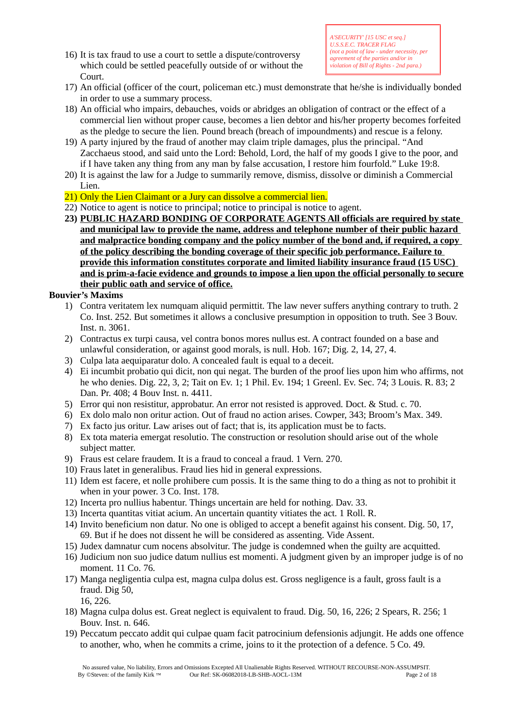16) It is tax fraud to use a court to settle a dispute/controversy which could be settled peacefully outside of or without the Court.

- 17) An official (officer of the court, policeman etc.) must demonstrate that he/she is individually bonded in order to use a summary process.
- 18) An official who impairs, debauches, voids or abridges an obligation of contract or the effect of a commercial lien without proper cause, becomes a lien debtor and his/her property becomes forfeited as the pledge to secure the lien. Pound breach (breach of impoundments) and rescue is a felony.
- 19) A party injured by the fraud of another may claim triple damages, plus the principal. "And Zacchaeus stood, and said unto the Lord: Behold, Lord, the half of my goods I give to the poor, and if I have taken any thing from any man by false accusation, I restore him fourfold." Luke 19:8.
- 20) It is against the law for a Judge to summarily remove, dismiss, dissolve or diminish a Commercial Lien.
- 21) Only the Lien Claimant or a Jury can dissolve a commercial lien.
- 22) Notice to agent is notice to principal; notice to principal is notice to agent.
- **23) PUBLIC HAZARD BONDING OF CORPORATE AGENTS All officials are required by state and municipal law to provide the name, address and telephone number of their public hazard and malpractice bonding company and the policy number of the bond and, if required, a copy of the policy describing the bonding coverage of their specific job performance. Failure to provide this information constitutes corporate and limited liability insurance fraud (15 USC) and is prim-a-facie evidence and grounds to impose a lien upon the official personally to secure their public oath and service of office.**

## **Bouvier's Maxims**

- 1) Contra veritatem lex numquam aliquid permittit. The law never suffers anything contrary to truth. 2 Co. Inst. 252. But sometimes it allows a conclusive presumption in opposition to truth. See 3 Bouv. Inst. n. 3061.
- 2) Contractus ex turpi causa, vel contra bonos mores nullus est. A contract founded on a base and unlawful consideration, or against good morals, is null. Hob. 167; Dig. 2, 14, 27, 4.
- 3) Culpa lata aequiparatur dolo. A concealed fault is equal to a deceit.
- 4) Ei incumbit probatio qui dicit, non qui negat. The burden of the proof lies upon him who affirms, not he who denies. Dig. 22, 3, 2; Tait on Ev. 1; 1 Phil. Ev. 194; 1 Greenl. Ev. Sec. 74; 3 Louis. R. 83; 2 Dan. Pr. 408; 4 Bouv Inst. n. 4411.
- 5) Error qui non resistitur, approbatur. An error not resisted is approved. Doct. & Stud. c. 70.
- 6) Ex dolo malo non oritur action. Out of fraud no action arises. Cowper, 343; Broom's Max. 349.
- 7) Ex facto jus oritur. Law arises out of fact; that is, its application must be to facts.
- 8) Ex tota materia emergat resolutio. The construction or resolution should arise out of the whole subject matter.
- 9) Fraus est celare fraudem. It is a fraud to conceal a fraud. 1 Vern. 270.
- 10) Fraus latet in generalibus. Fraud lies hid in general expressions.
- 11) Idem est facere, et nolle prohibere cum possis. It is the same thing to do a thing as not to prohibit it when in your power. 3 Co. Inst. 178.
- 12) Incerta pro nullius habentur. Things uncertain are held for nothing. Dav. 33.
- 13) Incerta quantitas vitiat acium. An uncertain quantity vitiates the act. 1 Roll. R.
- 14) Invito beneficium non datur. No one is obliged to accept a benefit against his consent. Dig. 50, 17, 69. But if he does not dissent he will be considered as assenting. Vide Assent.
- 15) Judex damnatur cum nocens absolvitur. The judge is condemned when the guilty are acquitted.
- 16) Judicium non suo judice datum nullius est momenti. A judgment given by an improper judge is of no moment. 11 Co. 76.
- 17) Manga negligentia culpa est, magna culpa dolus est. Gross negligence is a fault, gross fault is a fraud. Dig 50, 16, 226.
- 18) Magna culpa dolus est. Great neglect is equivalent to fraud. Dig. 50, 16, 226; 2 Spears, R. 256; 1 Bouv. Inst. n. 646.
- 19) Peccatum peccato addit qui culpae quam facit patrocinium defensionis adjungit. He adds one offence to another, who, when he commits a crime, joins to it the protection of a defence. 5 Co. 49.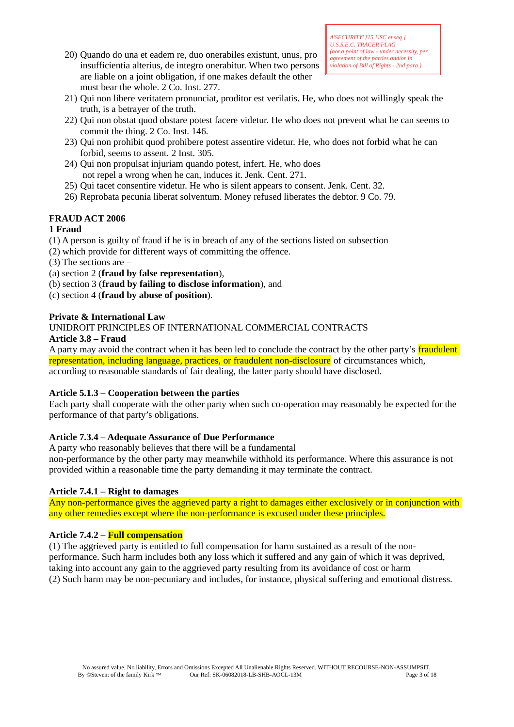20) Quando do una et eadem re, duo onerabiles existunt, unus, pro insufficientia alterius, de integro onerabitur. When two persons are liable on a joint obligation, if one makes default the other must bear the whole. 2 Co. Inst. 277.

- 21) Qui non libere veritatem pronunciat, proditor est verilatis. He, who does not willingly speak the truth, is a betrayer of the truth.
- 22) Qui non obstat quod obstare potest facere videtur. He who does not prevent what he can seems to commit the thing. 2 Co. Inst. 146.
- 23) Qui non prohibit quod prohibere potest assentire videtur. He, who does not forbid what he can forbid, seems to assent. 2 Inst. 305.
- 24) Qui non propulsat injuriam quando potest, infert. He, who does not repel a wrong when he can, induces it. Jenk. Cent. 271.
- 25) Qui tacet consentire videtur. He who is silent appears to consent. Jenk. Cent. 32.
- 26) Reprobata pecunia liberat solventum. Money refused liberates the debtor. 9 Co. 79.

# **FRAUD ACT 2006**

# **1 Fraud**

- (1) A person is guilty of fraud if he is in breach of any of the sections listed on subsection
- (2) which provide for different ways of committing the offence.
- (3) The sections are –
- (a) section 2 (**fraud by false representation**),
- (b) section 3 (**fraud by failing to disclose information**), and
- (c) section 4 (**fraud by abuse of position**).

# **Private & International Law**

UNIDROIT PRINCIPLES OF INTERNATIONAL COMMERCIAL CONTRACTS

## **Article 3.8 – Fraud**

A party may avoid the contract when it has been led to conclude the contract by the other party's fraudulent representation, including language, practices, or fraudulent non-disclosure of circumstances which, according to reasonable standards of fair dealing, the latter party should have disclosed.

## **Article 5.1.3 – Cooperation between the parties**

Each party shall cooperate with the other party when such co-operation may reasonably be expected for the performance of that party's obligations.

# **Article 7.3.4 – Adequate Assurance of Due Performance**

A party who reasonably believes that there will be a fundamental

non-performance by the other party may meanwhile withhold its performance. Where this assurance is not provided within a reasonable time the party demanding it may terminate the contract.

## **Article 7.4.1 – Right to damages**

Any non-performance gives the aggrieved party a right to damages either exclusively or in conjunction with any other remedies except where the non-performance is excused under these principles.

## **Article 7.4.2 – Full compensation**

(1) The aggrieved party is entitled to full compensation for harm sustained as a result of the nonperformance. Such harm includes both any loss which it suffered and any gain of which it was deprived, taking into account any gain to the aggrieved party resulting from its avoidance of cost or harm (2) Such harm may be non-pecuniary and includes, for instance, physical suffering and emotional distress.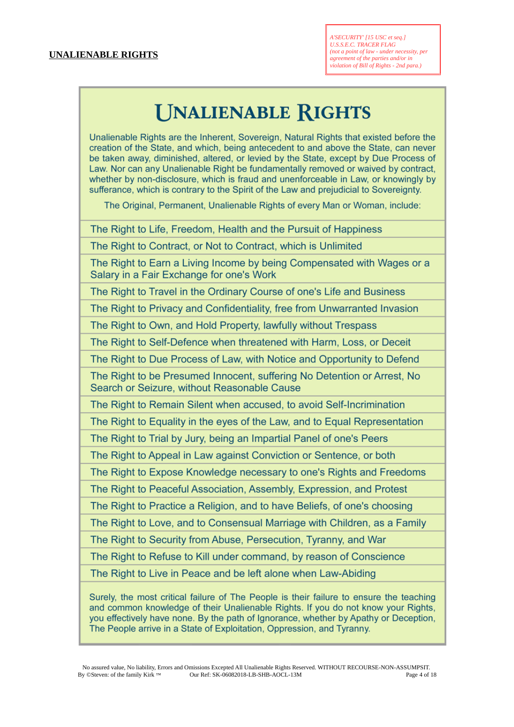# **UNALIENABLE RIGHTS**

Unalienable Rights are the Inherent, Sovereign, Natural Rights that existed before the creation of the State, and which, being antecedent to and above the State, can never be taken away, diminished, altered, or levied by the State, except by Due Process of Law. Nor can any Unalienable Right be fundamentally removed or waived by contract. whether by non-disclosure, which is fraud and unenforceable in Law, or knowingly by sufferance, which is contrary to the Spirit of the Law and prejudicial to Sovereignty.

The Original, Permanent, Unalienable Rights of every Man or Woman, include:

The Right to Life, Freedom, Health and the Pursuit of Happiness

The Right to Contract, or Not to Contract, which is Unlimited

The Right to Earn a Living Income by being Compensated with Wages or a Salary in a Fair Exchange for one's Work

The Right to Travel in the Ordinary Course of one's Life and Business

The Right to Privacy and Confidentiality, free from Unwarranted Invasion

The Right to Own, and Hold Property, lawfully without Trespass

The Right to Self-Defence when threatened with Harm, Loss, or Deceit

The Right to Due Process of Law, with Notice and Opportunity to Defend

The Right to be Presumed Innocent, suffering No Detention or Arrest, No Search or Seizure, without Reasonable Cause

The Right to Remain Silent when accused, to avoid Self-Incrimination

The Right to Equality in the eyes of the Law, and to Equal Representation

The Right to Trial by Jury, being an Impartial Panel of one's Peers

The Right to Appeal in Law against Conviction or Sentence, or both

The Right to Expose Knowledge necessary to one's Rights and Freedoms

The Right to Peaceful Association, Assembly, Expression, and Protest

The Right to Practice a Religion, and to have Beliefs, of one's choosing

The Right to Love, and to Consensual Marriage with Children, as a Family

The Right to Security from Abuse, Persecution, Tyranny, and War

The Right to Refuse to Kill under command, by reason of Conscience

The Right to Live in Peace and be left alone when Law-Abiding

Surely, the most critical failure of The People is their failure to ensure the teaching and common knowledge of their Unalienable Rights. If you do not know your Rights, you effectively have none. By the path of Ignorance, whether by Apathy or Deception, The People arrive in a State of Exploitation, Oppression, and Tyranny.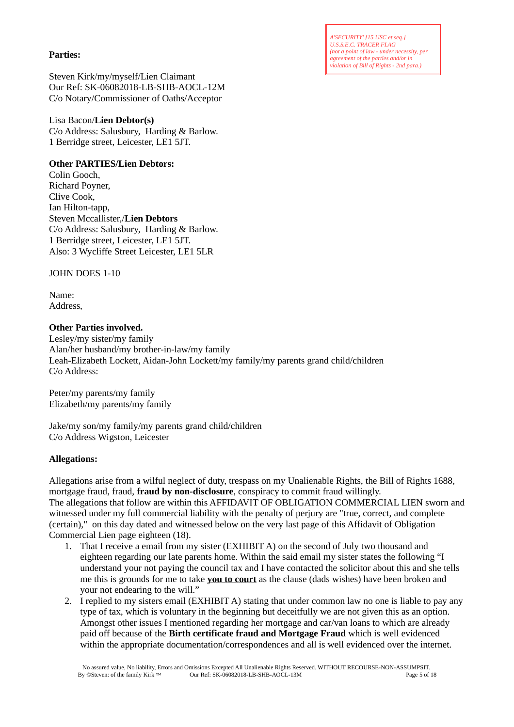*A'SECURITY' [15 USC et seq.] U.S.S.E.C. TRACER FLAG (not a point of law - under necessity, per agreement of the parties and/or in violation of Bill of Rights - 2nd para.)*

## **Parties:**

Steven Kirk/my/myself/Lien Claimant Our Ref: SK-06082018-LB-SHB-AOCL-12M C/o Notary/Commissioner of Oaths/Acceptor

# Lisa Bacon/**Lien Debtor(s)**

C/o Address: Salusbury, Harding & Barlow. 1 Berridge street, Leicester, LE1 5JT.

# **Other PARTIES/Lien Debtors:**

Colin Gooch, Richard Poyner, Clive Cook, Ian Hilton-tapp, Steven Mccallister,/**Lien Debtors** C/o Address: Salusbury, Harding & Barlow. 1 Berridge street, Leicester, LE1 5JT. Also: 3 Wycliffe Street Leicester, LE1 5LR

# JOHN DOES 1-10

Name: Address,

## **Other Parties involved.**

Lesley/my sister/my family Alan/her husband/my brother-in-law/my family Leah-Elizabeth Lockett, Aidan-John Lockett/my family/my parents grand child/children C/o Address:

Peter/my parents/my family Elizabeth/my parents/my family

Jake/my son/my family/my parents grand child/children C/o Address Wigston, Leicester

# **Allegations:**

Allegations arise from a wilful neglect of duty, trespass on my Unalienable Rights, the Bill of Rights 1688, mortgage fraud, fraud, **fraud by non-disclosure**, conspiracy to commit fraud willingly. The allegations that follow are within this AFFIDAVIT OF OBLIGATION COMMERCIAL LIEN sworn and witnessed under my full commercial liability with the penalty of perjury are "true, correct, and complete (certain)," on this day dated and witnessed below on the very last page of this Affidavit of Obligation Commercial Lien page eighteen (18).

- 1. That I receive a email from my sister (EXHIBIT A) on the second of July two thousand and eighteen regarding our late parents home. Within the said email my sister states the following "I understand your not paying the council tax and I have contacted the solicitor about this and she tells me this is grounds for me to take **you to court** as the clause (dads wishes) have been broken and your not endearing to the will."
- 2. I replied to my sisters email (EXHIBIT A) stating that under common law no one is liable to pay any type of tax, which is voluntary in the beginning but deceitfully we are not given this as an option. Amongst other issues I mentioned regarding her mortgage and car/van loans to which are already paid off because of the **Birth certificate fraud and Mortgage Fraud** which is well evidenced within the appropriate documentation/correspondences and all is well evidenced over the internet.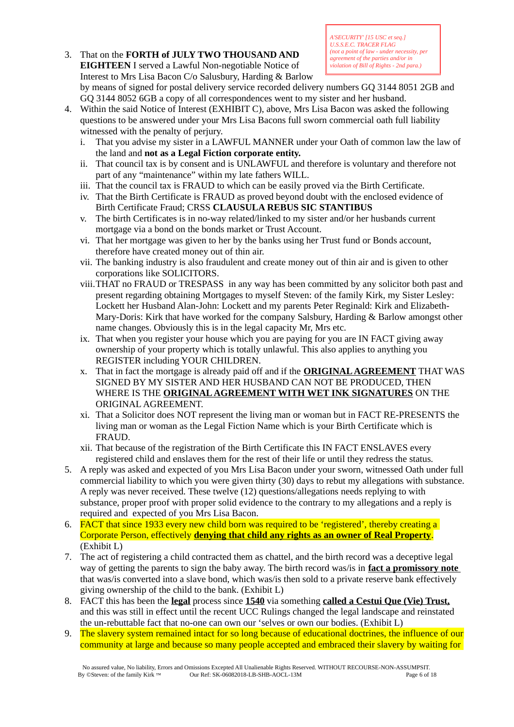3. That on the **FORTH of JULY TWO THOUSAND AND EIGHTEEN** I served a Lawful Non-negotiable Notice of Interest to Mrs Lisa Bacon C/o Salusbury, Harding & Barlow

*A'SECURITY' [15 USC et seq.] U.S.S.E.C. TRACER FLAG (not a point of law - under necessity, per agreement of the parties and/or in violation of Bill of Rights - 2nd para.)*

by means of signed for postal delivery service recorded delivery numbers GQ 3144 8051 2GB and GQ 3144 8052 6GB a copy of all correspondences went to my sister and her husband.

- 4. Within the said Notice of Interest (EXHIBIT C), above, Mrs Lisa Bacon was asked the following questions to be answered under your Mrs Lisa Bacons full sworn commercial oath full liability witnessed with the penalty of perjury.
	- i. That you advise my sister in a LAWFUL MANNER under your Oath of common law the law of the land and **not as a Legal Fiction corporate entity.**
	- ii. That council tax is by consent and is UNLAWFUL and therefore is voluntary and therefore not part of any "maintenance" within my late fathers WILL.
	- iii. That the council tax is FRAUD to which can be easily proved via the Birth Certificate.
	- iv. That the Birth Certificate is FRAUD as proved beyond doubt with the enclosed evidence of Birth Certificate Fraud; CRSS **CLAUSULA REBUS SIC STANTIBUS**
	- v. The birth Certificates is in no-way related/linked to my sister and/or her husbands current mortgage via a bond on the bonds market or Trust Account.
	- vi. That her mortgage was given to her by the banks using her Trust fund or Bonds account, therefore have created money out of thin air.
	- vii. The banking industry is also fraudulent and create money out of thin air and is given to other corporations like SOLICITORS.
	- viii.THAT no FRAUD or TRESPASS in any way has been committed by any solicitor both past and present regarding obtaining Mortgages to myself Steven: of the family Kirk, my Sister Lesley: Lockett her Husband Alan-John: Lockett and my parents Peter Reginald: Kirk and Elizabeth-Mary-Doris: Kirk that have worked for the company Salsbury, Harding & Barlow amongst other name changes. Obviously this is in the legal capacity Mr, Mrs etc.
	- ix. That when you register your house which you are paying for you are IN FACT giving away ownership of your property which is totally unlawful. This also applies to anything you REGISTER including YOUR CHILDREN.
	- x. That in fact the mortgage is already paid off and if the **ORIGINAL AGREEMENT** THAT WAS SIGNED BY MY SISTER AND HER HUSBAND CAN NOT BE PRODUCED, THEN WHERE IS THE **ORIGINAL AGREEMENT WITH WET INK SIGNATURES** ON THE ORIGINAL AGREEMENT.
	- xi. That a Solicitor does NOT represent the living man or woman but in FACT RE-PRESENTS the living man or woman as the Legal Fiction Name which is your Birth Certificate which is FRAUD.
	- xii. That because of the registration of the Birth Certificate this IN FACT ENSLAVES every registered child and enslaves them for the rest of their life or until they redress the status.
- 5. A reply was asked and expected of you Mrs Lisa Bacon under your sworn, witnessed Oath under full commercial liability to which you were given thirty (30) days to rebut my allegations with substance. A reply was never received. These twelve (12) questions/allegations needs replying to with substance, proper proof with proper solid evidence to the contrary to my allegations and a reply is required and expected of you Mrs Lisa Bacon.
- 6. FACT that since 1933 every new child born was required to be 'registered', thereby creating a Corporate Person, effectively **denying that child any rights as an owner of Real Property**. (Exhibit L)
- 7. The act of registering a child contracted them as chattel, and the birth record was a deceptive legal way of getting the parents to sign the baby away. The birth record was/is in **fact a promissory note**  that was/is converted into a slave bond, which was/is then sold to a private reserve bank effectively giving ownership of the child to the bank. (Exhibit L)
- 8. FACT this has been the **legal** process since **1540** via something **called a Cestui Que (Vie) Trust,** and this was still in effect until the recent UCC Rulings changed the legal landscape and reinstated the un-rebuttable fact that no-one can own our 'selves or own our bodies. (Exhibit L)
- 9. The slavery system remained intact for so long because of educational doctrines, the influence of our community at large and because so many people accepted and embraced their slavery by waiting for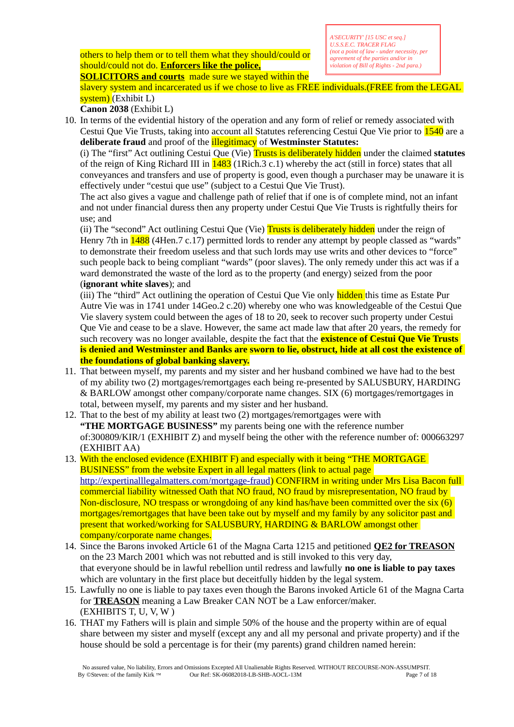others to help them or to tell them what they should/could or should/could not do. **Enforcers like the police,**

*A'SECURITY' [15 USC et seq.] U.S.S.E.C. TRACER FLAG (not a point of law - under necessity, per agreement of the parties and/or in violation of Bill of Rights - 2nd para.)*

**SOLICITORS and courts** made sure we stayed within the slavery system and incarcerated us if we chose to live as FREE individuals.(FREE from the LEGAL system) (Exhibit L)

**Canon 2038** (Exhibit L)

10. In terms of the evidential history of the operation and any form of relief or remedy associated with Cestui Que Vie Trusts, taking into account all Statutes referencing Cestui Que Vie prior to 1540 are a **deliberate fraud** and proof of the illegitimacy of **Westminster Statutes:**

(i) The "first" Act outlining Cestui Que (Vie) Trusts is deliberately hidden under the claimed **statutes** of the reign of King Richard III in  $1483$  (1Rich.3 c.1) whereby the act (still in force) states that all conveyances and transfers and use of property is good, even though a purchaser may be unaware it is effectively under "cestui que use" (subject to a Cestui Que Vie Trust).

The act also gives a vague and challenge path of relief that if one is of complete mind, not an infant and not under financial duress then any property under Cestui Que Vie Trusts is rightfully theirs for use; and

(ii) The "second" Act outlining Cestui Que (Vie) Trusts is deliberately hidden under the reign of Henry 7th in **1488** (4Hen.7 c.17) permitted lords to render any attempt by people classed as "wards" to demonstrate their freedom useless and that such lords may use writs and other devices to "force" such people back to being compliant "wards" (poor slaves). The only remedy under this act was if a ward demonstrated the waste of the lord as to the property (and energy) seized from the poor (**ignorant white slaves**); and

(iii) The "third" Act outlining the operation of Cestui Que Vie only hidden this time as Estate Pur Autre Vie was in 1741 under 14Geo.2 c.20) whereby one who was knowledgeable of the Cestui Que Vie slavery system could between the ages of 18 to 20, seek to recover such property under Cestui Que Vie and cease to be a slave. However, the same act made law that after 20 years, the remedy for such recovery was no longer available, despite the fact that the **existence of Cestui Que Vie Trusts is denied and Westminster and Banks are sworn to lie, obstruct, hide at all cost the existence of the foundations of global banking slavery.**

- 11. That between myself, my parents and my sister and her husband combined we have had to the best of my ability two (2) mortgages/remortgages each being re-presented by SALUSBURY, HARDING & BARLOW amongst other company/corporate name changes. SIX (6) mortgages/remortgages in total, between myself, my parents and my sister and her husband.
- 12. That to the best of my ability at least two (2) mortgages/remortgages were with **"THE MORTGAGE BUSINESS"** my parents being one with the reference number of:300809/KIR/1 (EXHIBIT Z) and myself being the other with the reference number of: 000663297 (EXHIBIT AA)
- 13. With the enclosed evidence (EXHIBIT F) and especially with it being "THE MORTGAGE BUSINESS" from the website Expert in all legal matters (link to actual page [http://expertinalllegalmatters.com/mortgage-fraud\)](http://expertinalllegalmatters.com/mortgage-fraud) CONFIRM in writing under Mrs Lisa Bacon full commercial liability witnessed Oath that NO fraud, NO fraud by misrepresentation, NO fraud by Non-disclosure, NO trespass or wrongdoing of any kind has/have been committed over the six (6) mortgages/remortgages that have been take out by myself and my family by any solicitor past and present that worked/working for SALUSBURY, HARDING & BARLOW amongst other company/corporate name changes.
- 14. Since the Barons invoked Article 61 of the Magna Carta 1215 and petitioned **QE2 for TREASON** on the 23 March 2001 which was not rebutted and is still invoked to this very day, that everyone should be in lawful rebellion until redress and lawfully **no one is liable to pay taxes** which are voluntary in the first place but deceitfully hidden by the legal system.
- 15. Lawfully no one is liable to pay taxes even though the Barons invoked Article 61 of the Magna Carta for **TREASON** meaning a Law Breaker CAN NOT be a Law enforcer/maker. (EXHIBITS T, U, V, W )
- 16. THAT my Fathers will is plain and simple 50% of the house and the property within are of equal share between my sister and myself (except any and all my personal and private property) and if the house should be sold a percentage is for their (my parents) grand children named herein: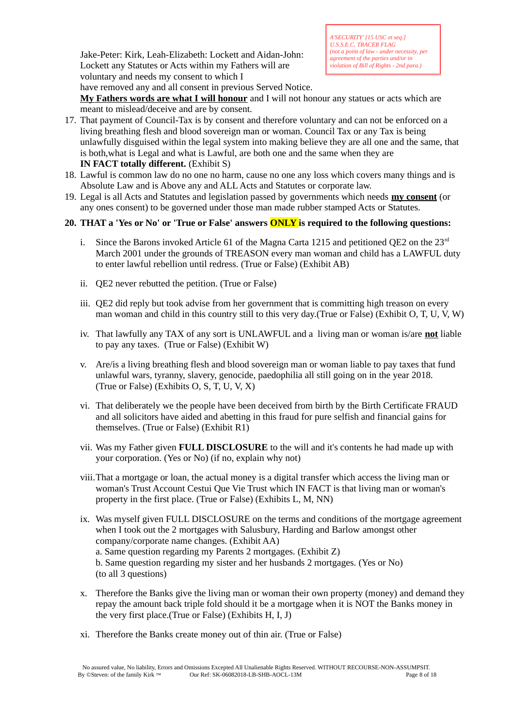Jake-Peter: Kirk, Leah-Elizabeth: Lockett and Aidan-John: Lockett any Statutes or Acts within my Fathers will are voluntary and needs my consent to which I have removed any and all consent in previous Served Notice.

*A'SECURITY' [15 USC et seq.] U.S.S.E.C. TRACER FLAG (not a point of law - under necessity, per agreement of the parties and/or in violation of Bill of Rights - 2nd para.)*

**My Fathers words are what I will honour** and I will not honour any statues or acts which are meant to mislead/deceive and are by consent.

- 17. That payment of Council-Tax is by consent and therefore voluntary and can not be enforced on a living breathing flesh and blood sovereign man or woman. Council Tax or any Tax is being unlawfully disguised within the legal system into making believe they are all one and the same, that is both,what is Legal and what is Lawful, are both one and the same when they are **IN FACT totally different.** (Exhibit S)
- 18. Lawful is common law do no one no harm, cause no one any loss which covers many things and is Absolute Law and is Above any and ALL Acts and Statutes or corporate law.
- 19. Legal is all Acts and Statutes and legislation passed by governments which needs **my consent** (or any ones consent) to be governed under those man made rubber stamped Acts or Statutes.

## **20. THAT a 'Yes or No' or 'True or False' answers ONLY is required to the following questions:**

- Since the Barons invoked Article 61 of the Magna Carta 1215 and petitioned OE2 on the  $23<sup>rd</sup>$ March 2001 under the grounds of TREASON every man woman and child has a LAWFUL duty to enter lawful rebellion until redress. (True or False) (Exhibit AB)
- ii. QE2 never rebutted the petition. (True or False)
- iii. QE2 did reply but took advise from her government that is committing high treason on every man woman and child in this country still to this very day.(True or False) (Exhibit O, T, U, V, W)
- iv. That lawfully any TAX of any sort is UNLAWFUL and a living man or woman is/are **not** liable to pay any taxes. (True or False) (Exhibit W)
- v. Are/is a living breathing flesh and blood sovereign man or woman liable to pay taxes that fund unlawful wars, tyranny, slavery, genocide, paedophilia all still going on in the year 2018. (True or False) (Exhibits O, S, T, U, V, X)
- vi. That deliberately we the people have been deceived from birth by the Birth Certificate FRAUD and all solicitors have aided and abetting in this fraud for pure selfish and financial gains for themselves. (True or False) (Exhibit R1)
- vii. Was my Father given **FULL DISCLOSURE** to the will and it's contents he had made up with your corporation. (Yes or No) (if no, explain why not)
- viii.That a mortgage or loan, the actual money is a digital transfer which access the living man or woman's Trust Account Cestui Que Vie Trust which IN FACT is that living man or woman's property in the first place. (True or False) (Exhibits L, M, NN)
- ix. Was myself given FULL DISCLOSURE on the terms and conditions of the mortgage agreement when I took out the 2 mortgages with Salusbury, Harding and Barlow amongst other company/corporate name changes. (Exhibit AA) a. Same question regarding my Parents 2 mortgages. (Exhibit Z) b. Same question regarding my sister and her husbands 2 mortgages. (Yes or No) (to all 3 questions)
- x. Therefore the Banks give the living man or woman their own property (money) and demand they repay the amount back triple fold should it be a mortgage when it is NOT the Banks money in the very first place.(True or False) (Exhibits H, I, J)
- xi. Therefore the Banks create money out of thin air. (True or False)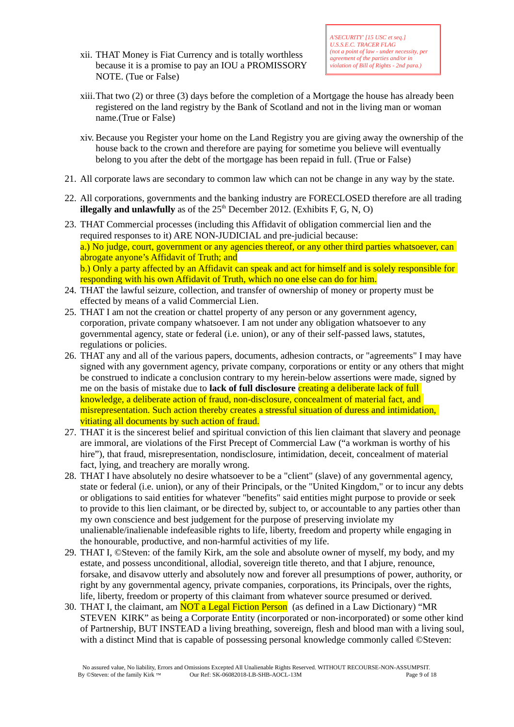xii. THAT Money is Fiat Currency and is totally worthless because it is a promise to pay an IOU a PROMISSORY NOTE. (Tue or False)

- xiii.That two (2) or three (3) days before the completion of a Mortgage the house has already been registered on the land registry by the Bank of Scotland and not in the living man or woman name.(True or False)
- xiv. Because you Register your home on the Land Registry you are giving away the ownership of the house back to the crown and therefore are paying for sometime you believe will eventually belong to you after the debt of the mortgage has been repaid in full. (True or False)
- 21. All corporate laws are secondary to common law which can not be change in any way by the state.
- 22. All corporations, governments and the banking industry are FORECLOSED therefore are all trading **illegally and unlawfully** as of the  $25<sup>th</sup>$  December 2012. (Exhibits F, G, N, O)
- 23. THAT Commercial processes (including this Affidavit of obligation commercial lien and the required responses to it) ARE NON-JUDICIAL and pre-judicial because: a.) No judge, court, government or any agencies thereof, or any other third parties whatsoever, can abrogate anyone's Affidavit of Truth; and b.) Only a party affected by an Affidavit can speak and act for himself and is solely responsible for responding with his own Affidavit of Truth, which no one else can do for him.
- 24. THAT the lawful seizure, collection, and transfer of ownership of money or property must be effected by means of a valid Commercial Lien.
- 25. THAT I am not the creation or chattel property of any person or any government agency, corporation, private company whatsoever. I am not under any obligation whatsoever to any governmental agency, state or federal (i.e. union), or any of their self-passed laws, statutes, regulations or policies.
- 26. THAT any and all of the various papers, documents, adhesion contracts, or "agreements" I may have signed with any government agency, private company, corporations or entity or any others that might be construed to indicate a conclusion contrary to my herein-below assertions were made, signed by me on the basis of mistake due to **lack of full disclosure** creating a deliberate lack of full knowledge, a deliberate action of fraud, non-disclosure, concealment of material fact, and misrepresentation. Such action thereby creates a stressful situation of duress and intimidation, vitiating all documents by such action of fraud.
- 27. THAT it is the sincerest belief and spiritual conviction of this lien claimant that slavery and peonage are immoral, are violations of the First Precept of Commercial Law ("a workman is worthy of his hire"), that fraud, misrepresentation, nondisclosure, intimidation, deceit, concealment of material fact, lying, and treachery are morally wrong.
- 28. THAT I have absolutely no desire whatsoever to be a "client" (slave) of any governmental agency, state or federal (i.e. union), or any of their Principals, or the "United Kingdom," or to incur any debts or obligations to said entities for whatever "benefits" said entities might purpose to provide or seek to provide to this lien claimant, or be directed by, subject to, or accountable to any parties other than my own conscience and best judgement for the purpose of preserving inviolate my unalienable/inalienable indefeasible rights to life, liberty, freedom and property while engaging in the honourable, productive, and non-harmful activities of my life.
- 29. THAT I, ©Steven: of the family Kirk, am the sole and absolute owner of myself, my body, and my estate, and possess unconditional, allodial, sovereign title thereto, and that I abjure, renounce, forsake, and disavow utterly and absolutely now and forever all presumptions of power, authority, or right by any governmental agency, private companies, corporations, its Principals, over the rights, life, liberty, freedom or property of this claimant from whatever source presumed or derived.
- 30. THAT I, the claimant, am **NOT a Legal Fiction Person** (as defined in a Law Dictionary) "MR STEVEN KIRK" as being a Corporate Entity (incorporated or non-incorporated) or some other kind of Partnership, BUT INSTEAD a living breathing, sovereign, flesh and blood man with a living soul, with a distinct Mind that is capable of possessing personal knowledge commonly called ©Steven: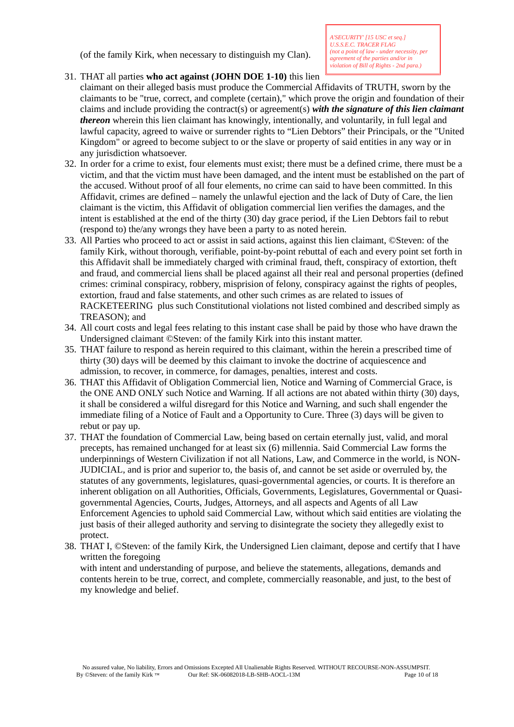(of the family Kirk, when necessary to distinguish my Clan).

# 31. THAT all parties **who act against (JOHN DOE 1-10)** this lien

claimant on their alleged basis must produce the Commercial Affidavits of TRUTH, sworn by the claimants to be "true, correct, and complete (certain)," which prove the origin and foundation of their claims and include providing the contract(s) or agreement(s) *with the signature of this lien claimant thereon* wherein this lien claimant has knowingly, intentionally, and voluntarily, in full legal and lawful capacity, agreed to waive or surrender rights to "Lien Debtors" their Principals, or the "United Kingdom" or agreed to become subject to or the slave or property of said entities in any way or in any jurisdiction whatsoever.

- 32. In order for a crime to exist, four elements must exist; there must be a defined crime, there must be a victim, and that the victim must have been damaged, and the intent must be established on the part of the accused. Without proof of all four elements, no crime can said to have been committed. In this Affidavit, crimes are defined – namely the unlawful ejection and the lack of Duty of Care, the lien claimant is the victim, this Affidavit of obligation commercial lien verifies the damages, and the intent is established at the end of the thirty (30) day grace period, if the Lien Debtors fail to rebut (respond to) the/any wrongs they have been a party to as noted herein.
- 33. All Parties who proceed to act or assist in said actions, against this lien claimant, ©Steven: of the family Kirk, without thorough, verifiable, point-by-point rebuttal of each and every point set forth in this Affidavit shall be immediately charged with criminal fraud, theft, conspiracy of extortion, theft and fraud, and commercial liens shall be placed against all their real and personal properties (defined crimes: criminal conspiracy, robbery, misprision of felony, conspiracy against the rights of peoples, extortion, fraud and false statements, and other such crimes as are related to issues of RACKETEERING plus such Constitutional violations not listed combined and described simply as TREASON); and
- 34. All court costs and legal fees relating to this instant case shall be paid by those who have drawn the Undersigned claimant ©Steven: of the family Kirk into this instant matter.
- 35. THAT failure to respond as herein required to this claimant, within the herein a prescribed time of thirty (30) days will be deemed by this claimant to invoke the doctrine of acquiescence and admission, to recover, in commerce, for damages, penalties, interest and costs.
- 36. THAT this Affidavit of Obligation Commercial lien, Notice and Warning of Commercial Grace, is the ONE AND ONLY such Notice and Warning. If all actions are not abated within thirty (30) days, it shall be considered a wilful disregard for this Notice and Warning, and such shall engender the immediate filing of a Notice of Fault and a Opportunity to Cure. Three (3) days will be given to rebut or pay up.
- 37. THAT the foundation of Commercial Law, being based on certain eternally just, valid, and moral precepts, has remained unchanged for at least six (6) millennia. Said Commercial Law forms the underpinnings of Western Civilization if not all Nations, Law, and Commerce in the world, is NON-JUDICIAL, and is prior and superior to, the basis of, and cannot be set aside or overruled by, the statutes of any governments, legislatures, quasi-governmental agencies, or courts. It is therefore an inherent obligation on all Authorities, Officials, Governments, Legislatures, Governmental or Quasigovernmental Agencies, Courts, Judges, Attorneys, and all aspects and Agents of all Law Enforcement Agencies to uphold said Commercial Law, without which said entities are violating the just basis of their alleged authority and serving to disintegrate the society they allegedly exist to protect.
- 38. THAT I, ©Steven: of the family Kirk, the Undersigned Lien claimant, depose and certify that I have written the foregoing with intent and understanding of purpose, and believe the statements, allegations, demands and contents herein to be true, correct, and complete, commercially reasonable, and just, to the best of my knowledge and belief.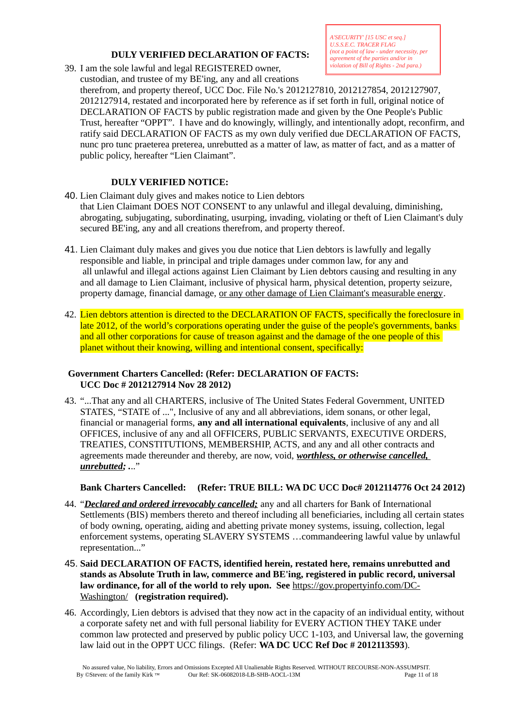## **DULY VERIFIED DECLARATION OF FACTS:**

39. I am the sole lawful and legal REGISTERED owner,

*A'SECURITY' [15 USC et seq.] U.S.S.E.C. TRACER FLAG (not a point of law - under necessity, per agreement of the parties and/or in violation of Bill of Rights - 2nd para.)*

custodian, and trustee of my BE'ing, any and all creations therefrom, and property thereof, UCC Doc. File No.'s 2012127810, 2012127854, 2012127907, 2012127914, restated and incorporated here by reference as if set forth in full, original notice of DECLARATION OF FACTS by public registration made and given by the One People's Public Trust, hereafter "OPPT". I have and do knowingly, willingly, and intentionally adopt, reconfirm, and ratify said DECLARATION OF FACTS as my own duly verified due DECLARATION OF FACTS, nunc pro tunc praeterea preterea, unrebutted as a matter of law, as matter of fact, and as a matter of public policy, hereafter "Lien Claimant".

## **DULY VERIFIED NOTICE:**

- 40. Lien Claimant duly gives and makes notice to Lien debtors that Lien Claimant DOES NOT CONSENT to any unlawful and illegal devaluing, diminishing, abrogating, subjugating, subordinating, usurping, invading, violating or theft of Lien Claimant's duly secured BE'ing, any and all creations therefrom, and property thereof.
- 41. Lien Claimant duly makes and gives you due notice that Lien debtors is lawfully and legally responsible and liable, in principal and triple damages under common law, for any and all unlawful and illegal actions against Lien Claimant by Lien debtors causing and resulting in any and all damage to Lien Claimant, inclusive of physical harm, physical detention, property seizure, property damage, financial damage, or any other damage of Lien Claimant's measurable energy.
- 42. Lien debtors attention is directed to the DECLARATION OF FACTS, specifically the foreclosure in late 2012, of the world's corporations operating under the guise of the people's governments, banks and all other corporations for cause of treason against and the damage of the one people of this planet without their knowing, willing and intentional consent, specifically:

## **Government Charters Cancelled: (Refer: DECLARATION OF FACTS: UCC Doc # 2012127914 Nov 28 2012)**

43. "...That any and all CHARTERS, inclusive of The United States Federal Government, UNITED STATES, "STATE of ...", Inclusive of any and all abbreviations, idem sonans, or other legal, financial or managerial forms, **any and all international equivalents**, inclusive of any and all OFFICES, inclusive of any and all OFFICERS, PUBLIC SERVANTS, EXECUTIVE ORDERS, TREATIES, CONSTITUTIONS, MEMBERSHIP, ACTS, and any and all other contracts and agreements made thereunder and thereby, are now, void, *worthless, or otherwise cancelled, unrebutted; .*.."

**Bank Charters Cancelled: (Refer: TRUE BILL: WA DC UCC Doc# 2012114776 Oct 24 2012)**

- 44. "*Declared and ordered irrevocably cancelled;* any and all charters for Bank of International Settlements (BIS) members thereto and thereof including all beneficiaries, including all certain states of body owning, operating, aiding and abetting private money systems, issuing, collection, legal enforcement systems, operating SLAVERY SYSTEMS …commandeering lawful value by unlawful representation..."
- 45. **Said DECLARATION OF FACTS, identified herein, restated here, remains unrebutted and stands as Absolute Truth in law, commerce and BE'ing, registered in public record, universal law ordinance, for all of the world to rely upon. See** [https://gov.propertyinfo.com/DC-](https://gov.propertyinfo.com/DC-Washington/)[Washington/](https://gov.propertyinfo.com/DC-Washington/) **(registration required).**
- 46. Accordingly, Lien debtors is advised that they now act in the capacity of an individual entity, without a corporate safety net and with full personal liability for EVERY ACTION THEY TAKE under common law protected and preserved by public policy UCC 1-103, and Universal law, the governing law laid out in the OPPT UCC filings. (Refer: **WA DC UCC Ref Doc # 2012113593**).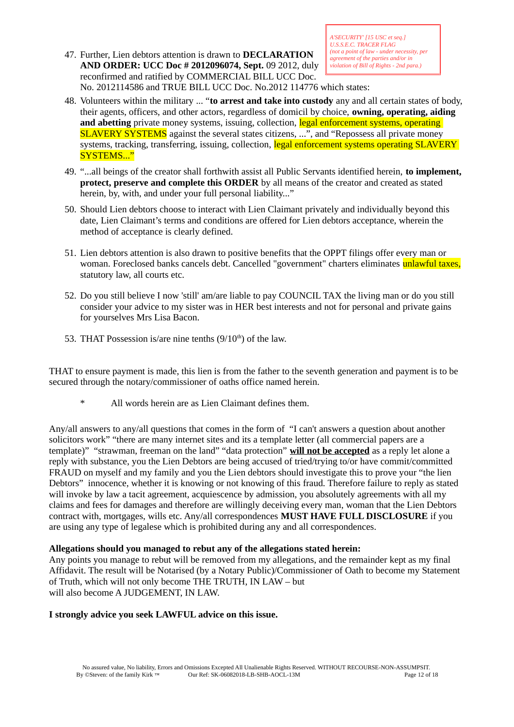47. Further, Lien debtors attention is drawn to **DECLARATION AND ORDER: UCC Doc # 2012096074, Sept.** 09 2012, duly reconfirmed and ratified by COMMERCIAL BILL UCC Doc. No. 2012114586 and TRUE BILL UCC Doc. No.2012 114776 which states:

- 48. Volunteers within the military ... "**to arrest and take into custody** any and all certain states of body, their agents, officers, and other actors, regardless of domicil by choice, **owning, operating, aiding and abetting** private money systems, issuing, collection, legal enforcement systems, operating SLAVERY SYSTEMS against the several states citizens, ...", and "Repossess all private money systems, tracking, transferring, issuing, collection, legal enforcement systems operating SLAVERY SYSTEMS..."
- 49. "...all beings of the creator shall forthwith assist all Public Servants identified herein, **to implement, protect, preserve and complete this ORDER** by all means of the creator and created as stated herein, by, with, and under your full personal liability..."
- 50. Should Lien debtors choose to interact with Lien Claimant privately and individually beyond this date, Lien Claimant's terms and conditions are offered for Lien debtors acceptance, wherein the method of acceptance is clearly defined.
- 51. Lien debtors attention is also drawn to positive benefits that the OPPT filings offer every man or woman. Foreclosed banks cancels debt. Cancelled "government" charters eliminates **unlawful taxes**, statutory law, all courts etc.
- 52. Do you still believe I now 'still' am/are liable to pay COUNCIL TAX the living man or do you still consider your advice to my sister was in HER best interests and not for personal and private gains for yourselves Mrs Lisa Bacon.
- 53. THAT Possession is/are nine tenths  $(9/10<sup>th</sup>)$  of the law.

THAT to ensure payment is made, this lien is from the father to the seventh generation and payment is to be secured through the notary/commissioner of oaths office named herein.

All words herein are as Lien Claimant defines them.

Any/all answers to any/all questions that comes in the form of "I can't answers a question about another solicitors work" "there are many internet sites and its a template letter (all commercial papers are a template)" "strawman, freeman on the land" "data protection" **will not be accepted** as a reply let alone a reply with substance, you the Lien Debtors are being accused of tried/trying to/or have commit/committed FRAUD on myself and my family and you the Lien debtors should investigate this to prove your "the lien Debtors" innocence, whether it is knowing or not knowing of this fraud. Therefore failure to reply as stated will invoke by law a tacit agreement, acquiescence by admission, you absolutely agreements with all my claims and fees for damages and therefore are willingly deceiving every man, woman that the Lien Debtors contract with, mortgages, wills etc. Any/all correspondences **MUST HAVE FULL DISCLOSURE** if you are using any type of legalese which is prohibited during any and all correspondences.

# **Allegations should you managed to rebut any of the allegations stated herein:**

Any points you manage to rebut will be removed from my allegations, and the remainder kept as my final Affidavit. The result will be Notarised (by a Notary Public)/Commissioner of Oath to become my Statement of Truth, which will not only become THE TRUTH, IN LAW – but will also become A JUDGEMENT, IN LAW.

# **I strongly advice you seek LAWFUL advice on this issue.**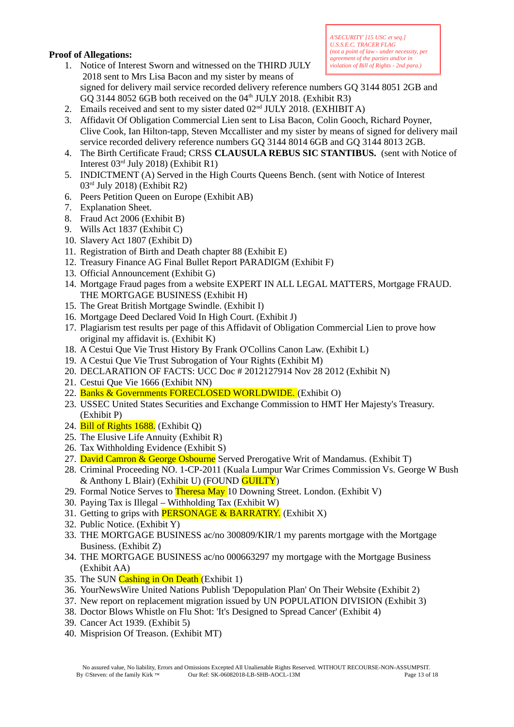## **Proof of Allegations:**

- 1. Notice of Interest Sworn and witnessed on the THIRD JULY 2018 sent to Mrs Lisa Bacon and my sister by means of
- *A'SECURITY' [15 USC et seq.] U.S.S.E.C. TRACER FLAG (not a point of law - under necessity, per agreement of the parties and/or in violation of Bill of Rights - 2nd para.)*
	- signed for delivery mail service recorded delivery reference numbers GQ 3144 8051 2GB and GQ 3144 8052 6GB both received on the  $04<sup>th</sup>$  JULY 2018. (Exhibit R3)
- 2. Emails received and sent to my sister dated 02<sup>nd</sup> JULY 2018. (EXHIBIT A)
- 3. Affidavit Of Obligation Commercial Lien sent to Lisa Bacon, Colin Gooch, Richard Poyner, Clive Cook, Ian Hilton-tapp, Steven Mccallister and my sister by means of signed for delivery mail service recorded delivery reference numbers GQ 3144 8014 6GB and GQ 3144 8013 2GB.
- 4. The Birth Certificate Fraud; CRSS **CLAUSULA REBUS SIC STANTIBUS.** (sent with Notice of Interest 03rd July 2018) (Exhibit R1)
- 5. INDICTMENT (A) Served in the High Courts Queens Bench. (sent with Notice of Interest 03rd July 2018) (Exhibit R2)
- 6. Peers Petition Queen on Europe (Exhibit AB)
- 7. Explanation Sheet.
- 8. Fraud Act 2006 (Exhibit B)
- 9. Wills Act 1837 (Exhibit C)
- 10. Slavery Act 1807 (Exhibit D)
- 11. Registration of Birth and Death chapter 88 (Exhibit E)
- 12. Treasury Finance AG Final Bullet Report PARADIGM (Exhibit F)
- 13. Official Announcement (Exhibit G)
- 14. Mortgage Fraud pages from a website EXPERT IN ALL LEGAL MATTERS, Mortgage FRAUD. THE MORTGAGE BUSINESS (Exhibit H)
- 15. The Great British Mortgage Swindle. (Exhibit I)
- 16. Mortgage Deed Declared Void In High Court. (Exhibit J)
- 17. Plagiarism test results per page of this Affidavit of Obligation Commercial Lien to prove how original my affidavit is. (Exhibit K)
- 18. A Cestui Que Vie Trust History By Frank O'Collins Canon Law. (Exhibit L)
- 19. A Cestui Que Vie Trust Subrogation of Your Rights (Exhibit M)
- 20. DECLARATION OF FACTS: UCC Doc # 2012127914 Nov 28 2012 (Exhibit N)
- 21. Cestui Que Vie 1666 (Exhibit NN)
- 22. Banks & Governments FORECLOSED WORLDWIDE. (Exhibit O)
- 23. USSEC United States Securities and Exchange Commission to HMT Her Majesty's Treasury. (Exhibit P)
- 24. Bill of Rights 1688. (Exhibit Q)
- 25. The Elusive Life Annuity (Exhibit R)
- 26. Tax Withholding Evidence (Exhibit S)
- 27. David Camron & George Osbourne Served Prerogative Writ of Mandamus. (Exhibit T)
- 28. Criminal Proceeding NO. 1-CP-2011 (Kuala Lumpur War Crimes Commission Vs. George W Bush & Anthony L Blair) (Exhibit U) (FOUND GUILTY)
- 29. Formal Notice Serves to Theresa May 10 Downing Street. London. (Exhibit V)
- 30. Paying Tax is Illegal Withholding Tax (Exhibit W)
- 31. Getting to grips with **PERSONAGE & BARRATRY.** (Exhibit X)
- 32. Public Notice. (Exhibit Y)
- 33. THE MORTGAGE BUSINESS ac/no 300809/KIR/1 my parents mortgage with the Mortgage Business. (Exhibit Z)
- 34. THE MORTGAGE BUSINESS ac/no 000663297 my mortgage with the Mortgage Business (Exhibit AA)
- 35. The SUN Cashing in On Death (Exhibit 1)
- 36. YourNewsWire United Nations Publish 'Depopulation Plan' On Their Website (Exhibit 2)
- 37. New report on replacement migration issued by UN POPULATION DIVISION (Exhibit 3)
- 38. Doctor Blows Whistle on Flu Shot: 'It's Designed to Spread Cancer' (Exhibit 4)
- 39. Cancer Act 1939. (Exhibit 5)
- 40. Misprision Of Treason. (Exhibit MT)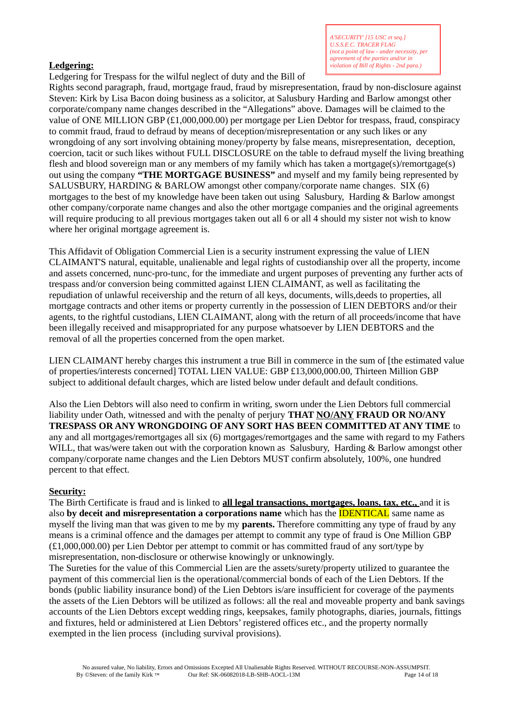## **Ledgering:**

*A'SECURITY' [15 USC et seq.] U.S.S.E.C. TRACER FLAG (not a point of law - under necessity, per agreement of the parties and/or in violation of Bill of Rights - 2nd para.)*

Ledgering for Trespass for the wilful neglect of duty and the Bill of

Rights second paragraph, fraud, mortgage fraud, fraud by misrepresentation, fraud by non-disclosure against Steven: Kirk by Lisa Bacon doing business as a solicitor, at Salusbury Harding and Barlow amongst other corporate/company name changes described in the "Allegations" above. Damages will be claimed to the value of ONE MILLION GBP (£1,000,000.00) per mortgage per Lien Debtor for trespass, fraud, conspiracy to commit fraud, fraud to defraud by means of deception/misrepresentation or any such likes or any wrongdoing of any sort involving obtaining money/property by false means, misrepresentation, deception, coercion, tacit or such likes without FULL DISCLOSURE on the table to defraud myself the living breathing flesh and blood sovereign man or any members of my family which has taken a mortgage(s)/remortgage(s) out using the company **"THE MORTGAGE BUSINESS"** and myself and my family being represented by SALUSBURY, HARDING & BARLOW amongst other company/corporate name changes. SIX (6) mortgages to the best of my knowledge have been taken out using Salusbury, Harding & Barlow amongst other company/corporate name changes and also the other mortgage companies and the original agreements will require producing to all previous mortgages taken out all 6 or all 4 should my sister not wish to know where her original mortgage agreement is.

This Affidavit of Obligation Commercial Lien is a security instrument expressing the value of LIEN CLAIMANT'S natural, equitable, unalienable and legal rights of custodianship over all the property, income and assets concerned, nunc-pro-tunc, for the immediate and urgent purposes of preventing any further acts of trespass and/or conversion being committed against LIEN CLAIMANT, as well as facilitating the repudiation of unlawful receivership and the return of all keys, documents, wills,deeds to properties, all mortgage contracts and other items or property currently in the possession of LIEN DEBTORS and/or their agents, to the rightful custodians, LIEN CLAIMANT, along with the return of all proceeds/income that have been illegally received and misappropriated for any purpose whatsoever by LIEN DEBTORS and the removal of all the properties concerned from the open market.

LIEN CLAIMANT hereby charges this instrument a true Bill in commerce in the sum of [the estimated value of properties/interests concerned] TOTAL LIEN VALUE: GBP £13,000,000.00, Thirteen Million GBP subject to additional default charges, which are listed below under default and default conditions.

Also the Lien Debtors will also need to confirm in writing, sworn under the Lien Debtors full commercial liability under Oath, witnessed and with the penalty of perjury **THAT NO/ANY FRAUD OR NO/ANY TRESPASS OR ANY WRONGDOING OF ANY SORT HAS BEEN COMMITTED AT ANY TIME** to any and all mortgages/remortgages all six (6) mortgages/remortgages and the same with regard to my Fathers WILL, that was/were taken out with the corporation known as Salusbury, Harding & Barlow amongst other company/corporate name changes and the Lien Debtors MUST confirm absolutely, 100%, one hundred percent to that effect.

## **Security:**

The Birth Certificate is fraud and is linked to **all legal transactions, mortgages, loans, tax, etc.,** and it is also **by deceit and misrepresentation a corporations name** which has the IDENTICAL same name as myself the living man that was given to me by my **parents.** Therefore committing any type of fraud by any means is a criminal offence and the damages per attempt to commit any type of fraud is One Million GBP (£1,000,000.00) per Lien Debtor per attempt to commit or has committed fraud of any sort/type by misrepresentation, non-disclosure or otherwise knowingly or unknowingly.

The Sureties for the value of this Commercial Lien are the assets/surety/property utilized to guarantee the payment of this commercial lien is the operational/commercial bonds of each of the Lien Debtors. If the bonds (public liability insurance bond) of the Lien Debtors is/are insufficient for coverage of the payments the assets of the Lien Debtors will be utilized as follows: all the real and moveable property and bank savings accounts of the Lien Debtors except wedding rings, keepsakes, family photographs, diaries, journals, fittings and fixtures, held or administered at Lien Debtors' registered offices etc., and the property normally exempted in the lien process (including survival provisions).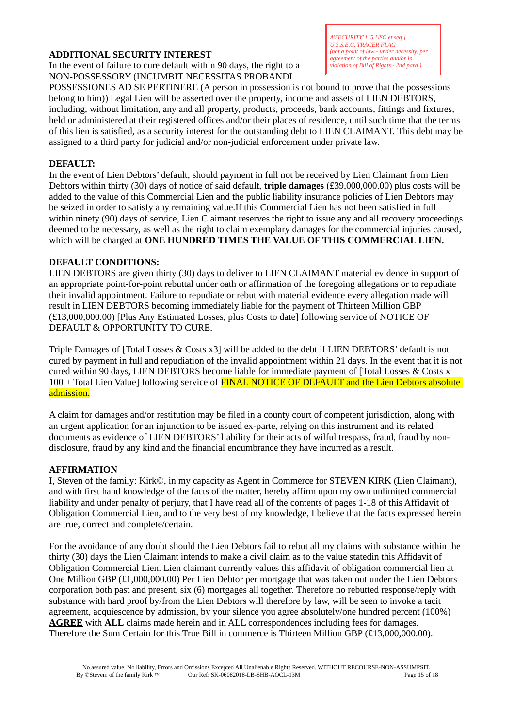## **ADDITIONAL SECURITY INTEREST**

In the event of failure to cure default within 90 days, the right to a NON-POSSESSORY (INCUMBIT NECESSITAS PROBANDI

POSSESSIONES AD SE PERTINERE (A person in possession is not bound to prove that the possessions belong to him)) Legal Lien will be asserted over the property, income and assets of LIEN DEBTORS, including, without limitation, any and all property, products, proceeds, bank accounts, fittings and fixtures, held or administered at their registered offices and/or their places of residence, until such time that the terms of this lien is satisfied, as a security interest for the outstanding debt to LIEN CLAIMANT. This debt may be assigned to a third party for judicial and/or non-judicial enforcement under private law.

## **DEFAULT:**

In the event of Lien Debtors' default; should payment in full not be received by Lien Claimant from Lien Debtors within thirty (30) days of notice of said default, **triple damages** (£39,000,000.00) plus costs will be added to the value of this Commercial Lien and the public liability insurance policies of Lien Debtors may be seized in order to satisfy any remaining value.If this Commercial Lien has not been satisfied in full within ninety (90) days of service, Lien Claimant reserves the right to issue any and all recovery proceedings deemed to be necessary, as well as the right to claim exemplary damages for the commercial injuries caused, which will be charged at **ONE HUNDRED TIMES THE VALUE OF THIS COMMERCIAL LIEN.**

## **DEFAULT CONDITIONS:**

LIEN DEBTORS are given thirty (30) days to deliver to LIEN CLAIMANT material evidence in support of an appropriate point-for-point rebuttal under oath or affirmation of the foregoing allegations or to repudiate their invalid appointment. Failure to repudiate or rebut with material evidence every allegation made will result in LIEN DEBTORS becoming immediately liable for the payment of Thirteen Million GBP (£13,000,000.00) [Plus Any Estimated Losses, plus Costs to date] following service of NOTICE OF DEFAULT & OPPORTUNITY TO CURE.

Triple Damages of [Total Losses & Costs x3] will be added to the debt if LIEN DEBTORS' default is not cured by payment in full and repudiation of the invalid appointment within 21 days. In the event that it is not cured within 90 days, LIEN DEBTORS become liable for immediate payment of [Total Losses & Costs x 100 + Total Lien Value] following service of FINAL NOTICE OF DEFAULT and the Lien Debtors absolute admission.

A claim for damages and/or restitution may be filed in a county court of competent jurisdiction, along with an urgent application for an injunction to be issued ex-parte, relying on this instrument and its related documents as evidence of LIEN DEBTORS' liability for their acts of wilful trespass, fraud, fraud by nondisclosure, fraud by any kind and the financial encumbrance they have incurred as a result.

# **AFFIRMATION**

I, Steven of the family: Kirk©, in my capacity as Agent in Commerce for STEVEN KIRK (Lien Claimant), and with first hand knowledge of the facts of the matter, hereby affirm upon my own unlimited commercial liability and under penalty of perjury, that I have read all of the contents of pages 1-18 of this Affidavit of Obligation Commercial Lien, and to the very best of my knowledge, I believe that the facts expressed herein are true, correct and complete/certain.

For the avoidance of any doubt should the Lien Debtors fail to rebut all my claims with substance within the thirty (30) days the Lien Claimant intends to make a civil claim as to the value statedin this Affidavit of Obligation Commercial Lien. Lien claimant currently values this affidavit of obligation commercial lien at One Million GBP (£1,000,000.00) Per Lien Debtor per mortgage that was taken out under the Lien Debtors corporation both past and present, six (6) mortgages all together. Therefore no rebutted response/reply with substance with hard proof by/from the Lien Debtors will therefore by law, will be seen to invoke a tacit agreement, acquiescence by admission, by your silence you agree absolutely/one hundred percent (100%) **AGREE** with **ALL** claims made herein and in ALL correspondences including fees for damages. Therefore the Sum Certain for this True Bill in commerce is Thirteen Million GBP (£13,000,000.00).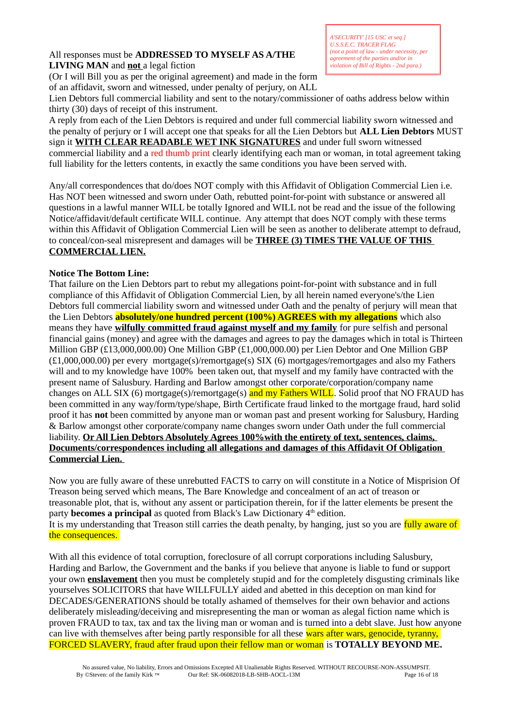#### All responses must be **ADDRESSED TO MYSELF AS A/THE LIVING MAN** and **not** a legal fiction

*A'SECURITY' [15 USC et seq.] U.S.S.E.C. TRACER FLAG (not a point of law - under necessity, per agreement of the parties and/or in violation of Bill of Rights - 2nd para.)*

(Or I will Bill you as per the original agreement) and made in the form of an affidavit, sworn and witnessed, under penalty of perjury, on ALL

Lien Debtors full commercial liability and sent to the notary/commissioner of oaths address below within thirty (30) days of receipt of this instrument.

A reply from each of the Lien Debtors is required and under full commercial liability sworn witnessed and the penalty of perjury or I will accept one that speaks for all the Lien Debtors but **ALL Lien Debtors** MUST sign it **WITH CLEAR READABLE WET INK SIGNATURES** and under full sworn witnessed commercial liability and a red thumb print clearly identifying each man or woman, in total agreement taking full liability for the letters contents, in exactly the same conditions you have been served with.

Any/all correspondences that do/does NOT comply with this Affidavit of Obligation Commercial Lien i.e. Has NOT been witnessed and sworn under Oath, rebutted point-for-point with substance or answered all questions in a lawful manner WILL be totally Ignored and WILL not be read and the issue of the following Notice/affidavit/default certificate WILL continue. Any attempt that does NOT comply with these terms within this Affidavit of Obligation Commercial Lien will be seen as another to deliberate attempt to defraud, to conceal/con-seal misrepresent and damages will be **THREE (3) TIMES THE VALUE OF THIS COMMERCIAL LIEN.**

# **Notice The Bottom Line:**

That failure on the Lien Debtors part to rebut my allegations point-for-point with substance and in full compliance of this Affidavit of Obligation Commercial Lien, by all herein named everyone's/the Lien Debtors full commercial liability sworn and witnessed under Oath and the penalty of perjury will mean that the Lien Debtors **absolutely/one hundred percent (100%) AGREES with my allegations** which also means they have **wilfully committed fraud against myself and my family** for pure selfish and personal financial gains (money) and agree with the damages and agrees to pay the damages which in total is Thirteen Million GBP (£13,000,000.00) One Million GBP (£1,000,000.00) per Lien Debtor and One Million GBP (£1,000,000.00) per every mortgage(s)/remortgage(s) SIX (6) mortgages/remortgages and also my Fathers will and to my knowledge have 100% been taken out, that myself and my family have contracted with the present name of Salusbury. Harding and Barlow amongst other corporate/corporation/company name changes on ALL SIX (6) mortgage(s)/remortgage(s) and my Fathers WILL. Solid proof that NO FRAUD has been committed in any way/form/type/shape, Birth Certificate fraud linked to the mortgage fraud, hard solid proof it has **not** been committed by anyone man or woman past and present working for Salusbury, Harding & Barlow amongst other corporate/company name changes sworn under Oath under the full commercial liability. **Or All Lien Debtors Absolutely Agrees 100%with the entirety of text, sentences, claims, Documents/correspondences including all allegations and damages of this Affidavit Of Obligation Commercial Lien.** 

Now you are fully aware of these unrebutted FACTS to carry on will constitute in a Notice of Misprision Of Treason being served which means, The Bare Knowledge and concealment of an act of treason or treasonable plot, that is, without any assent or participation therein, for if the latter elements be present the party **becomes a principal** as quoted from Black's Law Dictionary 4<sup>th</sup> edition. It is my understanding that Treason still carries the death penalty, by hanging, just so you are fully aware of the consequences.

With all this evidence of total corruption, foreclosure of all corrupt corporations including Salusbury, Harding and Barlow, the Government and the banks if you believe that anyone is liable to fund or support your own **enslavement** then you must be completely stupid and for the completely disgusting criminals like yourselves SOLICITORS that have WILLFULLY aided and abetted in this deception on man kind for DECADES/GENERATIONS should be totally ashamed of themselves for their own behavior and actions deliberately misleading/deceiving and misrepresenting the man or woman as alegal fiction name which is proven FRAUD to tax, tax and tax the living man or woman and is turned into a debt slave. Just how anyone can live with themselves after being partly responsible for all these wars after wars, genocide, tyranny, FORCED SLAVERY, fraud after fraud upon their fellow man or woman is **TOTALLY BEYOND ME.**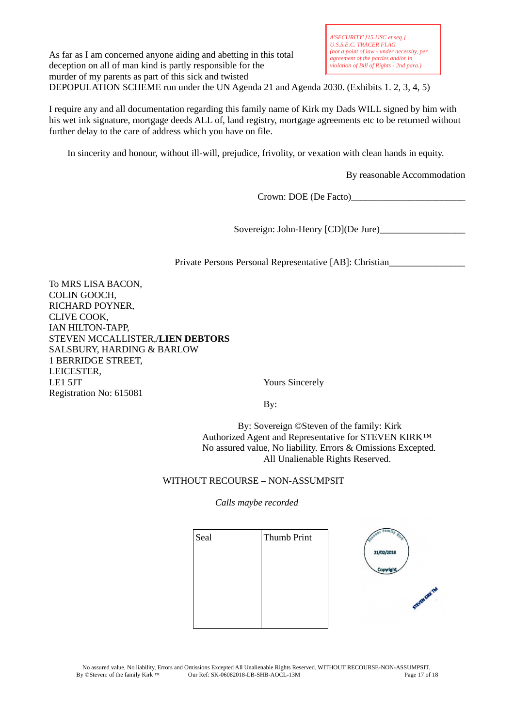As far as I am concerned anyone aiding and abetting in this total deception on all of man kind is partly responsible for the murder of my parents as part of this sick and twisted DEPOPULATION SCHEME run under the UN Agenda 21 and Agenda 2030. (Exhibits 1. 2, 3, 4, 5)

I require any and all documentation regarding this family name of Kirk my Dads WILL signed by him with his wet ink signature, mortgage deeds ALL of, land registry, mortgage agreements etc to be returned without further delay to the care of address which you have on file.

In sincerity and honour, without ill-will, prejudice, frivolity, or vexation with clean hands in equity.

By reasonable Accommodation

Crown: DOE (De Facto)\_\_\_\_\_\_\_\_\_\_\_\_\_\_\_\_\_\_\_\_\_\_\_\_

Sovereign: John-Henry [CD](De Jure)\_\_\_\_\_\_\_\_\_\_\_\_\_\_\_\_\_\_

Private Persons Personal Representative [AB]: Christian\_\_\_\_\_\_\_\_\_\_\_\_\_\_\_\_

To MRS LISA BACON, COLIN GOOCH, RICHARD POYNER, CLIVE COOK, IAN HILTON-TAPP, STEVEN MCCALLISTER,/**LIEN DEBTORS** SALSBURY, HARDING & BARLOW 1 BERRIDGE STREET, LEICESTER, LE1 5JT Yours Sincerely Registration No: 615081

By:

 By: Sovereign ©Steven of the family: Kirk Authorized Agent and Representative for STEVEN KIRK™ No assured value, No liability. Errors & Omissions Excepted. All Unalienable Rights Reserved.

## WITHOUT RECOURSE – NON-ASSUMPSIT

## *Calls maybe recorded*

| Seal | Thumb Print |            |
|------|-------------|------------|
|      |             | 21/02/2018 |
|      |             |            |
|      |             | G          |
|      |             |            |